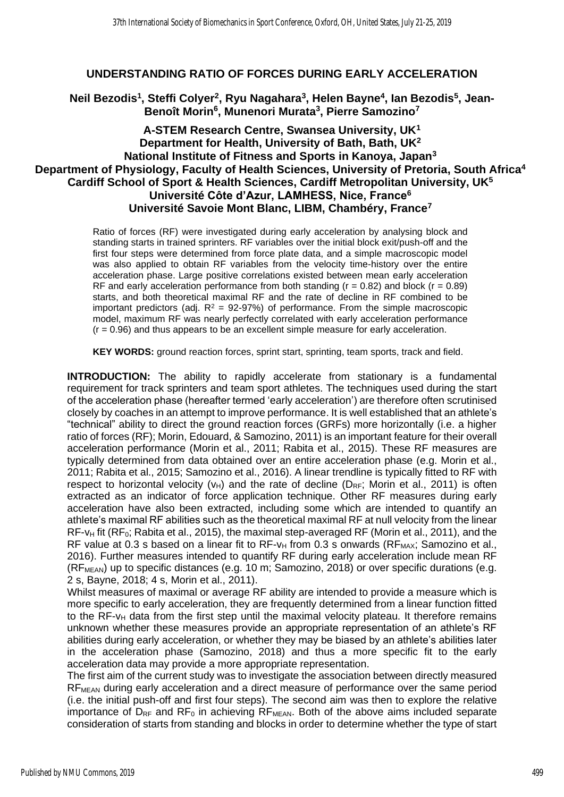## **UNDERSTANDING RATIO OF FORCES DURING EARLY ACCELERATION**

**Neil Bezodis<sup>1</sup> , Steffi Colyer<sup>2</sup> , Ryu Nagahara<sup>3</sup> , Helen Bayne<sup>4</sup> , Ian Bezodis<sup>5</sup> , Jean-Benoît Morin<sup>6</sup> , Munenori Murata<sup>3</sup> , Pierre Samozino<sup>7</sup>**

## **A-STEM Research Centre, Swansea University, UK<sup>1</sup> Department for Health, University of Bath, Bath, UK<sup>2</sup> National Institute of Fitness and Sports in Kanoya, Japan<sup>3</sup> Department of Physiology, Faculty of Health Sciences, University of Pretoria, South Africa<sup>4</sup> Cardiff School of Sport & Health Sciences, Cardiff Metropolitan University, UK<sup>5</sup> Université Côte d'Azur, LAMHESS, Nice, France<sup>6</sup> Université Savoie Mont Blanc, LIBM, Chambéry, France<sup>7</sup>**

Ratio of forces (RF) were investigated during early acceleration by analysing block and standing starts in trained sprinters. RF variables over the initial block exit/push-off and the first four steps were determined from force plate data, and a simple macroscopic model was also applied to obtain RF variables from the velocity time-history over the entire acceleration phase. Large positive correlations existed between mean early acceleration RF and early acceleration performance from both standing ( $r = 0.82$ ) and block ( $r = 0.89$ ) starts, and both theoretical maximal RF and the rate of decline in RF combined to be important predictors (adj.  $R^2 = 92-97%$ ) of performance. From the simple macroscopic model, maximum RF was nearly perfectly correlated with early acceleration performance  $(r = 0.96)$  and thus appears to be an excellent simple measure for early acceleration.

**KEY WORDS:** ground reaction forces, sprint start, sprinting, team sports, track and field.

**INTRODUCTION:** The ability to rapidly accelerate from stationary is a fundamental requirement for track sprinters and team sport athletes. The techniques used during the start of the acceleration phase (hereafter termed 'early acceleration') are therefore often scrutinised closely by coaches in an attempt to improve performance. It is well established that an athlete's "technical" ability to direct the ground reaction forces (GRFs) more horizontally (i.e. a higher ratio of forces (RF); Morin, Edouard, & Samozino, 2011) is an important feature for their overall acceleration performance (Morin et al., 2011; Rabita et al., 2015). These RF measures are typically determined from data obtained over an entire acceleration phase (e.g. Morin et al., 2011; Rabita et al., 2015; Samozino et al., 2016). A linear trendline is typically fitted to RF with respect to horizontal velocity ( $v_H$ ) and the rate of decline ( $D_{RF}$ ; Morin et al., 2011) is often extracted as an indicator of force application technique. Other RF measures during early acceleration have also been extracted, including some which are intended to quantify an athlete's maximal RF abilities such as the theoretical maximal RF at null velocity from the linear  $RF-v_H$  fit ( $RF_0$ ; Rabita et al., 2015), the maximal step-averaged RF (Morin et al., 2011), and the RF value at 0.3 s based on a linear fit to  $RF-\nu_H$  from 0.3 s onwards ( $RF_{MAX}$ ; Samozino et al., 2016). Further measures intended to quantify RF during early acceleration include mean RF  $(RF<sub>MEAN</sub>)$  up to specific distances (e.g. 10 m; Samozino, 2018) or over specific durations (e.g. 2 s, Bayne, 2018; 4 s, Morin et al., 2011).

Whilst measures of maximal or average RF ability are intended to provide a measure which is more specific to early acceleration, they are frequently determined from a linear function fitted to the RF- $v_H$  data from the first step until the maximal velocity plateau. It therefore remains unknown whether these measures provide an appropriate representation of an athlete's RF abilities during early acceleration, or whether they may be biased by an athlete's abilities later in the acceleration phase (Samozino, 2018) and thus a more specific fit to the early acceleration data may provide a more appropriate representation.

The first aim of the current study was to investigate the association between directly measured RFMEAN during early acceleration and a direct measure of performance over the same period (i.e. the initial push-off and first four steps). The second aim was then to explore the relative importance of  $D_{RF}$  and  $RF_0$  in achieving  $RF_{MFAN}$ . Both of the above aims included separate consideration of starts from standing and blocks in order to determine whether the type of start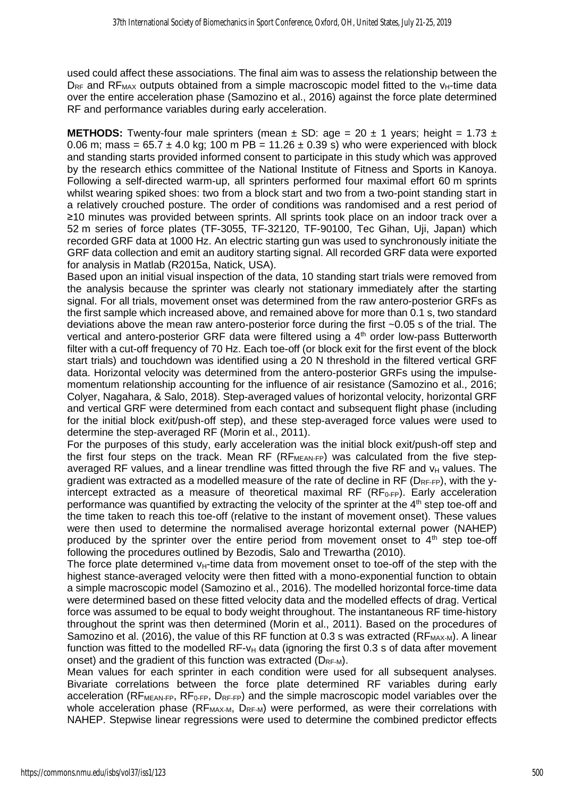used could affect these associations. The final aim was to assess the relationship between the  $D_{RF}$  and RF<sub>MAX</sub> outputs obtained from a simple macroscopic model fitted to the  $v_{H}$ -time data over the entire acceleration phase (Samozino et al., 2016) against the force plate determined RF and performance variables during early acceleration.

**METHODS:** Twenty-four male sprinters (mean  $\pm$  SD: age = 20  $\pm$  1 years; height = 1.73  $\pm$ 0.06 m; mass =  $65.7 \pm 4.0$  kg; 100 m PB = 11.26  $\pm$  0.39 s) who were experienced with block and standing starts provided informed consent to participate in this study which was approved by the research ethics committee of the National Institute of Fitness and Sports in Kanoya. Following a self-directed warm-up, all sprinters performed four maximal effort 60 m sprints whilst wearing spiked shoes: two from a block start and two from a two-point standing start in a relatively crouched posture. The order of conditions was randomised and a rest period of ≥10 minutes was provided between sprints. All sprints took place on an indoor track over a 52 m series of force plates (TF-3055, TF-32120, TF-90100, Tec Gihan, Uji, Japan) which recorded GRF data at 1000 Hz. An electric starting gun was used to synchronously initiate the GRF data collection and emit an auditory starting signal. All recorded GRF data were exported for analysis in Matlab (R2015a, Natick, USA).

Based upon an initial visual inspection of the data, 10 standing start trials were removed from the analysis because the sprinter was clearly not stationary immediately after the starting signal. For all trials, movement onset was determined from the raw antero-posterior GRFs as the first sample which increased above, and remained above for more than 0.1 s, two standard deviations above the mean raw antero-posterior force during the first ~0.05 s of the trial. The vertical and antero-posterior GRF data were filtered using a 4<sup>th</sup> order low-pass Butterworth filter with a cut-off frequency of 70 Hz. Each toe-off (or block exit for the first event of the block start trials) and touchdown was identified using a 20 N threshold in the filtered vertical GRF data. Horizontal velocity was determined from the antero-posterior GRFs using the impulsemomentum relationship accounting for the influence of air resistance (Samozino et al., 2016; Colyer, Nagahara, & Salo, 2018). Step-averaged values of horizontal velocity, horizontal GRF and vertical GRF were determined from each contact and subsequent flight phase (including for the initial block exit/push-off step), and these step-averaged force values were used to determine the step-averaged RF (Morin et al., 2011).

For the purposes of this study, early acceleration was the initial block exit/push-off step and the first four steps on the track. Mean RF (RF<sub>MEAN-FP</sub>) was calculated from the five stepaveraged RF values, and a linear trendline was fitted through the five RF and  $v_H$  values. The gradient was extracted as a modelled measure of the rate of decline in RF ( $D_{RF-FP}$ ), with the yintercept extracted as a measure of theoretical maximal RF ( $RF_{0-FP}$ ). Early acceleration performance was quantified by extracting the velocity of the sprinter at the  $4<sup>th</sup>$  step toe-off and the time taken to reach this toe-off (relative to the instant of movement onset). These values were then used to determine the normalised average horizontal external power (NAHEP) produced by the sprinter over the entire period from movement onset to  $4<sup>th</sup>$  step toe-off following the procedures outlined by Bezodis, Salo and Trewartha (2010).

The force plate determined  $v_H$ -time data from movement onset to toe-off of the step with the highest stance-averaged velocity were then fitted with a mono-exponential function to obtain a simple macroscopic model (Samozino et al., 2016). The modelled horizontal force-time data were determined based on these fitted velocity data and the modelled effects of drag. Vertical force was assumed to be equal to body weight throughout. The instantaneous RF time-history throughout the sprint was then determined (Morin et al., 2011). Based on the procedures of Samozino et al. (2016), the value of this RF function at 0.3 s was extracted ( $RF_{MAX-M}$ ). A linear function was fitted to the modelled RF- $v_H$  data (ignoring the first 0.3 s of data after movement onset) and the gradient of this function was extracted  $(D_{RF-M})$ .

Mean values for each sprinter in each condition were used for all subsequent analyses. Bivariate correlations between the force plate determined RF variables during early acceleration ( $RF<sub>MEM-FP</sub>, RF<sub>0-FP</sub>, DF<sub>FP</sub>$ ) and the simple macroscopic model variables over the whole acceleration phase ( $RF_{MAX-M}$ ,  $D_{RF-M}$ ) were performed, as were their correlations with NAHEP. Stepwise linear regressions were used to determine the combined predictor effects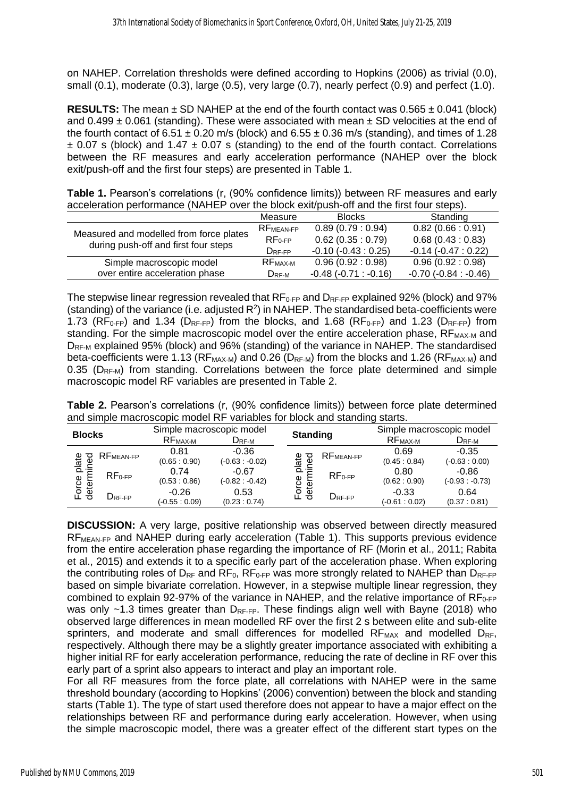on NAHEP. Correlation thresholds were defined according to Hopkins (2006) as trivial (0.0), small (0.1), moderate (0.3), large (0.5), very large (0.7), nearly perfect (0.9) and perfect (1.0).

**RESULTS:** The mean  $\pm$  SD NAHEP at the end of the fourth contact was 0.565  $\pm$  0.041 (block) and  $0.499 \pm 0.061$  (standing). These were associated with mean  $\pm$  SD velocities at the end of the fourth contact of 6.51  $\pm$  0.20 m/s (block) and 6.55  $\pm$  0.36 m/s (standing), and times of 1.28  $\pm$  0.07 s (block) and 1.47  $\pm$  0.07 s (standing) to the end of the fourth contact. Correlations between the RF measures and early acceleration performance (NAHEP over the block exit/push-off and the first four steps) are presented in Table 1.

**Table 1.** Pearson's correlations (r, (90% confidence limits)) between RF measures and early acceleration performance (NAHEP over the block exit/push-off and the first four steps).

|                                         | Measure               | <b>Blocks</b>             | Standing                  |
|-----------------------------------------|-----------------------|---------------------------|---------------------------|
|                                         | RF <sub>MEAN-FP</sub> | 0.89(0.79:0.94)           | 0.82(0.66:0.91)           |
| Measured and modelled from force plates | $RF_{0-FP}$           | 0.62(0.35:0.79)           | 0.68(0.43:0.83)           |
| during push-off and first four steps    | $D_{RF-FP}$           | $-0.10(-0.43:0.25)$       | $-0.14(-0.47:0.22)$       |
| Simple macroscopic model                | RF <sub>MAX-M</sub>   | 0.96(0.92:0.98)           | 0.96(0.92:0.98)           |
| over entire acceleration phase          | $D_{RF-M}$            | $-0.48$ $(-0.71 : -0.16)$ | $-0.70$ $(-0.84 : -0.46)$ |

The stepwise linear regression revealed that  $RF_{0-FP}$  and  $D_{RF-FP}$  explained 92% (block) and 97% (standing) of the variance (i.e. adjusted  $R^2$ ) in NAHEP. The standardised beta-coefficients were 1.73 ( $RF_{0-FP}$ ) and 1.34 ( $D_{RF-FP}$ ) from the blocks, and 1.68 ( $RF_{0-FP}$ ) and 1.23 ( $D_{RF-FP}$ ) from standing. For the simple macroscopic model over the entire acceleration phase,  $RF_{MAX-M}$  and D<sub>RF-M</sub> explained 95% (block) and 96% (standing) of the variance in NAHEP. The standardised beta-coefficients were 1.13 ( $RF_{MAX-M}$ ) and 0.26 ( $D_{RF-M}$ ) from the blocks and 1.26 ( $RF_{MAX-M}$ ) and 0.35 ( $D_{RF-M}$ ) from standing. Correlations between the force plate determined and simple macroscopic model RF variables are presented in Table 2.

**Table 2.** Pearson's correlations (r, (90% confidence limits)) between force plate determined and simple macroscopic model RF variables for block and standing starts.

| <b>Blocks</b>                          |                                               | Simple macroscopic model  |                             | <b>Standing</b>                       | Simple macroscopic model  |                             |
|----------------------------------------|-----------------------------------------------|---------------------------|-----------------------------|---------------------------------------|---------------------------|-----------------------------|
|                                        |                                               | RF <sub>MAX-M</sub>       | $D_{RF-M}$                  |                                       | RF <sub>MAX-M</sub>       | $D_{RF-M}$                  |
| plate<br>nined<br>공<br>Force<br>detern | RF <sub>MEAN-FP</sub>                         | 0.81<br>(0.65:0.90)       | $-0.36$<br>$(-0.63 - 0.02)$ | RF <sub>MEAN-FP</sub><br>plate<br>್ಥಾ | 0.69<br>(0.45:0.84)       | $-0.35$<br>$(-0.63:0.00)$   |
|                                        | $RF0-FP$                                      | 0.74<br>(0.53:0.86)       | $-0.67$<br>$(-0.82:-0.42)$  | $RF0-FP$                              | 0.80<br>(0.62:0.90)       | $-0.86$<br>$(-0.93: -0.73)$ |
|                                        | $\mathsf{D}_{\mathsf{RF}\text{-}\mathsf{FP}}$ | $-0.26$<br>$(-0.55:0.09)$ | 0.53<br>(0.23:0.74)         | Force<br>dete<br>DRF-FP               | $-0.33$<br>$(-0.61:0.02)$ | 0.64<br>(0.37:0.81)         |

**DISCUSSION:** A very large, positive relationship was observed between directly measured RF<sub>MEAN-FP</sub> and NAHEP during early acceleration (Table 1). This supports previous evidence from the entire acceleration phase regarding the importance of RF (Morin et al., 2011; Rabita et al., 2015) and extends it to a specific early part of the acceleration phase. When exploring the contributing roles of  $D_{RF}$  and  $RF_0$ ,  $RF_{0-FP}$  was more strongly related to NAHEP than  $D_{RF-FP}$ based on simple bivariate correlation. However, in a stepwise multiple linear regression, they combined to explain 92-97% of the variance in NAHEP, and the relative importance of  $RF_{0-FP}$ was only  $\sim$ 1.3 times greater than D<sub>RF-FP</sub>. These findings align well with Bayne (2018) who observed large differences in mean modelled RF over the first 2 s between elite and sub-elite sprinters, and moderate and small differences for modelled  $RF_{MAX}$  and modelled  $D_{RF}$ , respectively. Although there may be a slightly greater importance associated with exhibiting a higher initial RF for early acceleration performance, reducing the rate of decline in RF over this early part of a sprint also appears to interact and play an important role.

For all RF measures from the force plate, all correlations with NAHEP were in the same threshold boundary (according to Hopkins' (2006) convention) between the block and standing starts (Table 1). The type of start used therefore does not appear to have a major effect on the relationships between RF and performance during early acceleration. However, when using the simple macroscopic model, there was a greater effect of the different start types on the